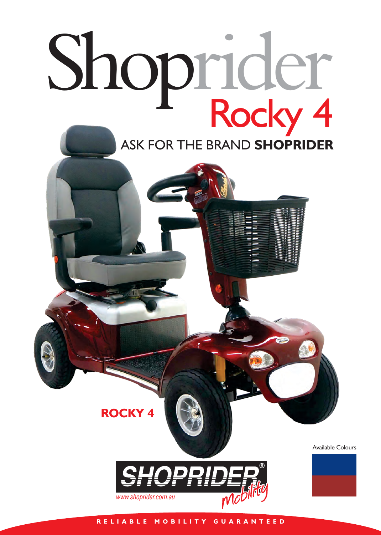## Shoprider Rocky 4 ASK FOR THE BRAND **SHOPRIDER**

Available Colours



**ROCKY 4**

**R E L I A B L E M O B I L I T Y G U A R A N T E E D**